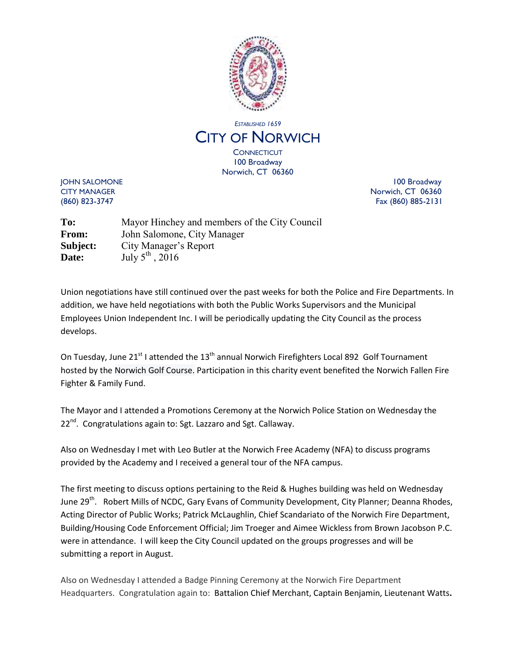

## *ESTABLISHED 1659* CITY OF NORWICH **CONNECTICUT**

100 Broadway Norwich, CT 06360

JOHN SALOMONE 100 Broadway CITY MANAGER Norwich, CT 06360 (860) 823-3747 Fax (860) 885-2131

**To:** Mayor Hinchey and members of the City Council **From:** John Salomone, City Manager **Subject:** City Manager's Report **Date:** July 5<sup>th</sup>, 2016

Union negotiations have still continued over the past weeks for both the Police and Fire Departments. In addition, we have held negotiations with both the Public Works Supervisors and the Municipal Employees Union Independent Inc. I will be periodically updating the City Council as the process develops.

On Tuesday, June 21<sup>st</sup> I attended the 13<sup>th</sup> annual [Norwich Firefighters Local 892](https://www.facebook.com/Norwich-Firefighters-Local-892-137577586280441/) Golf Tournament hosted by the [Norwich Golf Course.](https://www.facebook.com/NorwichGolfCourse/?rc=p) Participation in this charity event benefited the Norwich Fallen Fire Fighter & Family Fund.

The Mayor and I attended a Promotions Ceremony at the Norwich Police Station on Wednesday the 22<sup>nd</sup>. Congratulations again to: Sgt. Lazzaro and Sgt. Callaway.

Also on Wednesday I met with Leo Butler at the Norwich Free Academy (NFA) to discuss programs provided by the Academy and I received a general tour of the NFA campus.

The first meeting to discuss options pertaining to the Reid & Hughes building was held on Wednesday June 29<sup>th</sup>. Robert Mills of NCDC, Gary Evans of Community Development, City Planner; Deanna Rhodes, Acting Director of Public Works; Patrick McLaughlin, Chief Scandariato of the Norwich Fire Department, Building/Housing Code Enforcement Official; Jim Troeger and Aimee Wickless from Brown Jacobson P.C. were in attendance. I will keep the City Council updated on the groups progresses and will be submitting a report in August.

Also on Wednesday I attended a Badge Pinning Ceremony at the Norwich Fire Department Headquarters. Congratulation again to: Battalion Chief Merchant, Captain Benjamin, Lieutenant Watts**.**